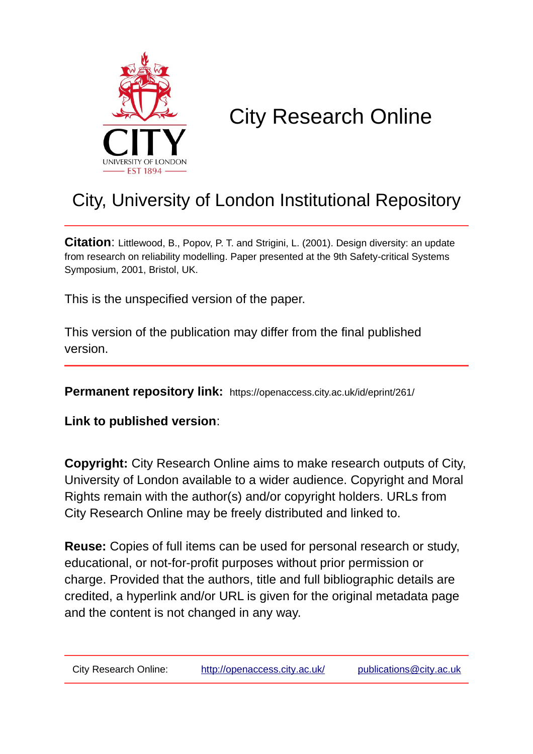

## City Research Online

## City, University of London Institutional Repository

**Citation**: Littlewood, B., Popov, P. T. and Strigini, L. (2001). Design diversity: an update from research on reliability modelling. Paper presented at the 9th Safety-critical Systems Symposium, 2001, Bristol, UK.

This is the unspecified version of the paper.

This version of the publication may differ from the final published version.

**Permanent repository link:** https://openaccess.city.ac.uk/id/eprint/261/

**Link to published version**:

**Copyright:** City Research Online aims to make research outputs of City, University of London available to a wider audience. Copyright and Moral Rights remain with the author(s) and/or copyright holders. URLs from City Research Online may be freely distributed and linked to.

**Reuse:** Copies of full items can be used for personal research or study, educational, or not-for-profit purposes without prior permission or charge. Provided that the authors, title and full bibliographic details are credited, a hyperlink and/or URL is given for the original metadata page and the content is not changed in any way.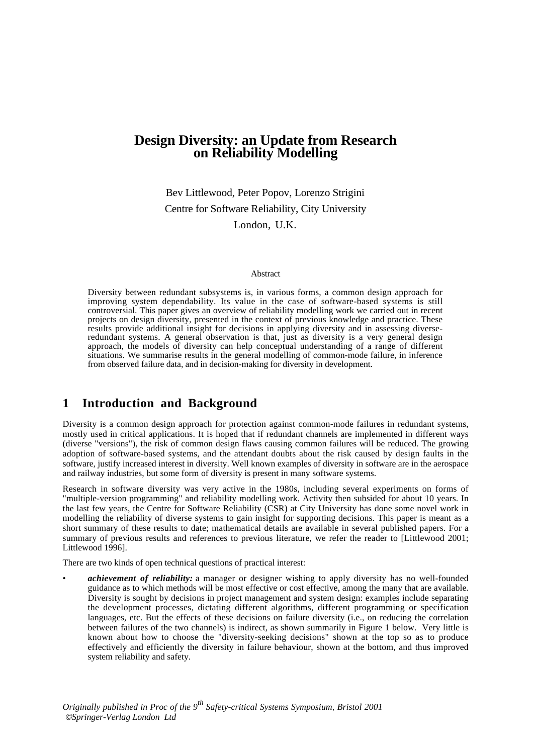# **Design Diversity: an Update from Research on Reliability Modelling**

Bev Littlewood, Peter Popov, Lorenzo Strigini Centre for Software Reliability, City University London, U.K.

#### Abstract

Diversity between redundant subsystems is, in various forms, a common design approach for improving system dependability. Its value in the case of software-based systems is still controversial. This paper gives an overview of reliability modelling work we carried out in recent projects on design diversity, presented in the context of previous knowledge and practice. These results provide additional insight for decisions in applying diversity and in assessing diverseredundant systems. A general observation is that, just as diversity is a very general design approach, the models of diversity can help conceptual understanding of a range of different situations. We summarise results in the general modelling of common-mode failure, in inference from observed failure data, and in decision-making for diversity in development.

#### **1 Introduction and Background**

Diversity is a common design approach for protection against common-mode failures in redundant systems, mostly used in critical applications. It is hoped that if redundant channels are implemented in different ways (diverse "versions"), the risk of common design flaws causing common failures will be reduced. The growing adoption of software-based systems, and the attendant doubts about the risk caused by design faults in the software, justify increased interest in diversity. Well known examples of diversity in software are in the aerospace and railway industries, but some form of diversity is present in many software systems.

Research in software diversity was very active in the 1980s, including several experiments on forms of "multiple-version programming" and reliability modelling work. Activity then subsided for about 10 years. In the last few years, the Centre for Software Reliability (CSR) at City University has done some novel work in modelling the reliability of diverse systems to gain insight for supporting decisions. This paper is meant as a short summary of these results to date; mathematical details are available in several published papers. For a summary of previous results and references to previous literature, we refer the reader to [Littlewood 2001; Littlewood 1996].

There are two kinds of open technical questions of practical interest:

• *achievement of reliability:* a manager or designer wishing to apply diversity has no well-founded guidance as to which methods will be most effective or cost effective, among the many that are available. Diversity is sought by decisions in project management and system design: examples include separating the development processes, dictating different algorithms, different programming or specification languages, etc. But the effects of these decisions on failure diversity (i.e., on reducing the correlation between failures of the two channels) is indirect, as shown summarily in Figure 1 below. Very little is known about how to choose the "diversity-seeking decisions" shown at the top so as to produce effectively and efficiently the diversity in failure behaviour, shown at the bottom, and thus improved system reliability and safety.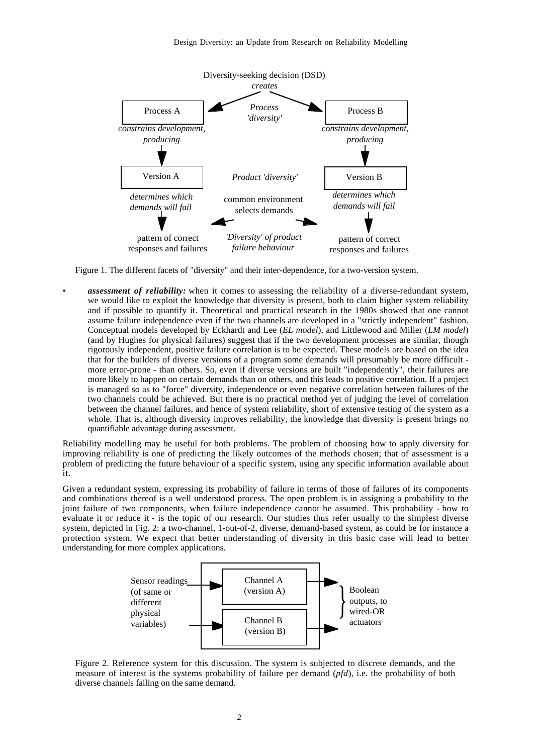

Figure 1. The different facets of "diversity" and their inter-dependence, for a two-version system.

• *assessment of reliability:* when it comes to assessing the reliability of a diverse-redundant system, we would like to exploit the knowledge that diversity is present, both to claim higher system reliability and if possible to quantify it. Theoretical and practical research in the 1980s showed that one cannot assume failure independence even if the two channels are developed in a "strictly independent" fashion. Conceptual models developed by Eckhardt and Lee (*EL model*), and Littlewood and Miller (*LM model*) (and by Hughes for physical failures) suggest that if the two development processes are similar, though rigorously independent, positive failure correlation is to be expected. These models are based on the idea that for the builders of diverse versions of a program some demands will presumably be more difficult more error-prone - than others. So, even if diverse versions are built "independently", their failures are more likely to happen on certain demands than on others, and this leads to positive correlation. If a project is managed so as to "force" diversity, independence or even negative correlation between failures of the two channels could be achieved. But there is no practical method yet of judging the level of correlation between the channel failures, and hence of system reliability, short of extensive testing of the system as a whole. That is, although diversity improves reliability, the knowledge that diversity is present brings no quantifiable advantage during assessment.

Reliability modelling may be useful for both problems. The problem of choosing how to apply diversity for improving reliability is one of predicting the likely outcomes of the methods chosen; that of assessment is a problem of predicting the future behaviour of a specific system, using any specific information available about it.

Given a redundant system, expressing its probability of failure in terms of those of failures of its components and combinations thereof is a well understood process. The open problem is in assigning a probability to the joint failure of two components, when failure independence cannot be assumed. This probability - how to evaluate it or reduce it - is the topic of our research. Our studies thus refer usually to the simplest diverse system, depicted in Fig. 2: a two-channel, 1-out-of-2, diverse, demand-based system, as could be for instance a protection system. We expect that better understanding of diversity in this basic case will lead to better understanding for more complex applications.



Figure 2. Reference system for this discussion. The system is subjected to discrete demands, and the measure of interest is the systems probability of failure per demand (*pfd*), i.e. the probability of both diverse channels failing on the same demand.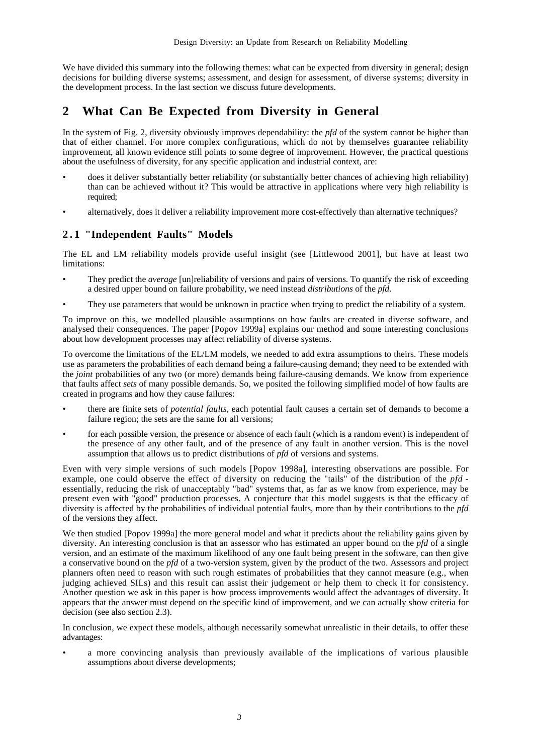We have divided this summary into the following themes: what can be expected from diversity in general; design decisions for building diverse systems; assessment, and design for assessment, of diverse systems; diversity in the development process. In the last section we discuss future developments.

## **2 What Can Be Expected from Diversity in General**

In the system of Fig. 2, diversity obviously improves dependability: the *pfd* of the system cannot be higher than that of either channel. For more complex configurations, which do not by themselves guarantee reliability improvement, all known evidence still points to some degree of improvement. However, the practical questions about the usefulness of diversity, for any specific application and industrial context, are:

- does it deliver substantially better reliability (or substantially better chances of achieving high reliability) than can be achieved without it? This would be attractive in applications where very high reliability is required:
- alternatively, does it deliver a reliability improvement more cost-effectively than alternative techniques?

#### **2 . 1 "Independent Faults" Models**

The EL and LM reliability models provide useful insight (see [Littlewood 2001], but have at least two limitations:

- They predict the *average* [un]reliability of versions and pairs of versions. To quantify the risk of exceeding a desired upper bound on failure probability, we need instead *distributions* of the *pfd*.
- They use parameters that would be unknown in practice when trying to predict the reliability of a system.

To improve on this, we modelled plausible assumptions on how faults are created in diverse software, and analysed their consequences. The paper [Popov 1999a] explains our method and some interesting conclusions about how development processes may affect reliability of diverse systems.

To overcome the limitations of the EL/LM models, we needed to add extra assumptions to theirs. These models use as parameters the probabilities of each demand being a failure-causing demand; they need to be extended with the *joint* probabilities of any two (or more) demands being failure-causing demands. We know from experience that faults affect *sets* of many possible demands. So, we posited the following simplified model of how faults are created in programs and how they cause failures:

- there are finite sets of *potential faults*, each potential fault causes a certain set of demands to become a failure region; the sets are the same for all versions;
- for each possible version, the presence or absence of each fault (which is a random event) is independent of the presence of any other fault, and of the presence of any fault in another version. This is the novel assumption that allows us to predict distributions of *pfd* of versions and systems.

Even with very simple versions of such models [Popov 1998a], interesting observations are possible. For example, one could observe the effect of diversity on reducing the "tails" of the distribution of the *pfd* essentially, reducing the risk of unacceptably "bad" systems that, as far as we know from experience, may be present even with "good" production processes. A conjecture that this model suggests is that the efficacy of diversity is affected by the probabilities of individual potential faults, more than by their contributions to the *pfd* of the versions they affect.

We then studied [Popov 1999a] the more general model and what it predicts about the reliability gains given by diversity. An interesting conclusion is that an assessor who has estimated an upper bound on the *pfd* of a single version, and an estimate of the maximum likelihood of any one fault being present in the software, can then give a conservative bound on the *pfd* of a two-version system, given by the product of the two. Assessors and project planners often need to reason with such rough estimates of probabilities that they cannot measure (e.g., when judging achieved SILs) and this result can assist their judgement or help them to check it for consistency. Another question we ask in this paper is how process improvements would affect the advantages of diversity. It appears that the answer must depend on the specific kind of improvement, and we can actually show criteria for decision (see also section 2.3).

In conclusion, we expect these models, although necessarily somewhat unrealistic in their details, to offer these advantages:

• a more convincing analysis than previously available of the implications of various plausible assumptions about diverse developments;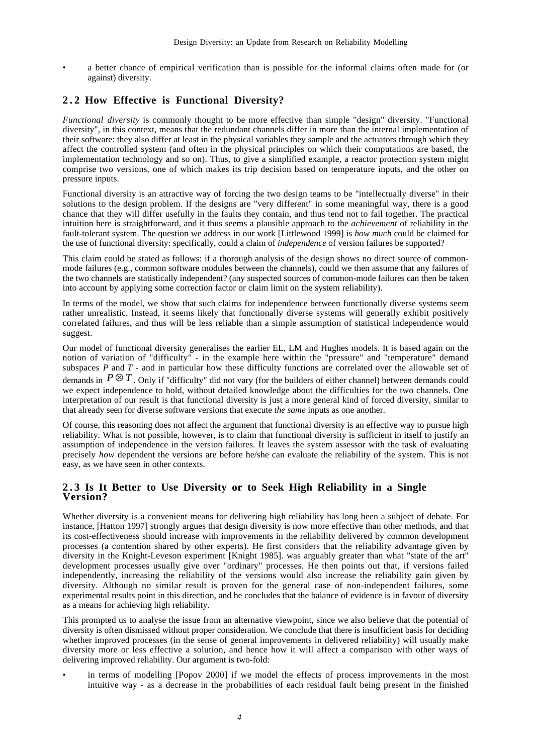• a better chance of empirical verification than is possible for the informal claims often made for (or against) diversity.

#### **2 . 2 How Effective is Functional Diversity?**

*Functional diversity* is commonly thought to be more effective than simple "design" diversity. "Functional diversity", in this context, means that the redundant channels differ in more than the internal implementation of their software: they also differ at least in the physical variables they sample and the actuators through which they affect the controlled system (and often in the physical principles on which their computations are based, the implementation technology and so on). Thus, to give a simplified example, a reactor protection system might comprise two versions, one of which makes its trip decision based on temperature inputs, and the other on pressure inputs.

Functional diversity is an attractive way of forcing the two design teams to be "intellectually diverse" in their solutions to the design problem. If the designs are "very different" in some meaningful way, there is a good chance that they will differ usefully in the faults they contain, and thus tend not to fail together. The practical intuition here is straightforward, and it thus seems a plausible approach to the *achievement* of reliability in the fault-tolerant system. The question we address in our work [Littlewood 1999] is *how much* could be claimed for the use of functional diversity: specifically, could a claim of *independence* of version failures be supported?

This claim could be stated as follows: if a thorough analysis of the design shows no direct source of commonmode failures (e.g., common software modules between the channels), could we then assume that any failures of the two channels are statistically independent? (any suspected sources of common-mode failures can then be taken into account by applying some correction factor or claim limit on the system reliability).

In terms of the model, we show that such claims for independence between functionally diverse systems seem rather unrealistic. Instead, it seems likely that functionally diverse systems will generally exhibit positively correlated failures, and thus will be less reliable than a simple assumption of statistical independence would suggest.

Our model of functional diversity generalises the earlier EL, LM and Hughes models. It is based again on the notion of variation of "difficulty" - in the example here within the "pressure" and "temperature" demand subspaces *P* and *T* - and in particular how these difficulty functions are correlated over the allowable set of demands in  $P \otimes T$ . Only if "difficulty" did not vary (for the builders of either channel) between demands could we expect independence to hold, without detailed knowledge about the difficulties for the two channels. One interpretation of our result is that functional diversity is just a more general kind of forced diversity, similar to that already seen for diverse software versions that execute *the same* inputs as one another.

Of course, this reasoning does not affect the argument that functional diversity is an effective way to pursue high reliability. What is not possible, however, is to claim that functional diversity is sufficient in itself to justify an assumption of independence in the version failures. It leaves the system assessor with the task of evaluating precisely *how* dependent the versions are before he/she can evaluate the reliability of the system. This is not easy, as we have seen in other contexts.

#### **2 . 3 Is It Better to Use Diversity or to Seek High Reliability in a Single Version?**

Whether diversity is a convenient means for delivering high reliability has long been a subject of debate. For instance, [Hatton 1997] strongly argues that design diversity is now more effective than other methods, and that its cost-effectiveness should increase with improvements in the reliability delivered by common development processes (a contention shared by other experts). He first considers that the reliability advantage given by diversity in the Knight-Leveson experiment [Knight 1985]. was arguably greater than what "state of the art" development processes usually give over "ordinary" processes. He then points out that, if versions failed independently, increasing the reliability of the versions would also increase the reliability gain given by diversity. Although no similar result is proven for the general case of non-independent failures, some experimental results point in this direction, and he concludes that the balance of evidence is in favour of diversity as a means for achieving high reliability.

This prompted us to analyse the issue from an alternative viewpoint, since we also believe that the potential of diversity is often dismissed without proper consideration. We conclude that there is insufficient basis for deciding whether improved processes (in the sense of general improvements in delivered reliability) will usually make diversity more or less effective a solution, and hence how it will affect a comparison with other ways of delivering improved reliability. Our argument is two-fold:

in terms of modelling [Popov 2000] if we model the effects of process improvements in the most intuitive way - as a decrease in the probabilities of each residual fault being present in the finished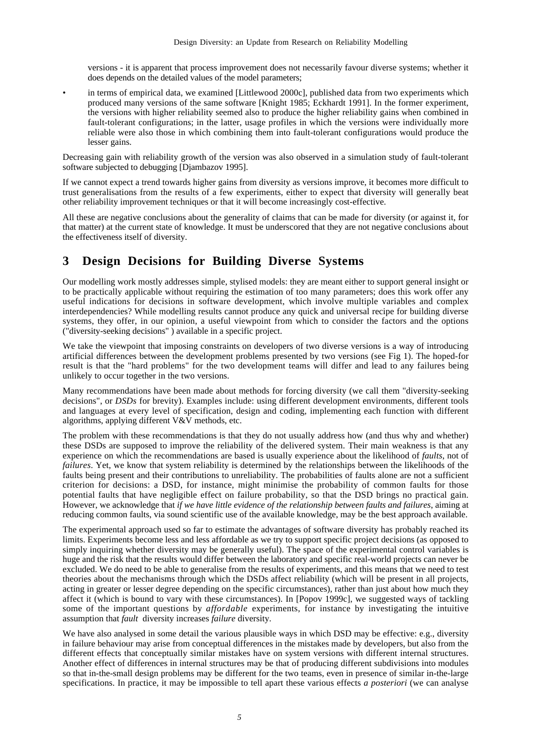versions - it is apparent that process improvement does not necessarily favour diverse systems; whether it does depends on the detailed values of the model parameters;

• in terms of empirical data, we examined [Littlewood 2000c], published data from two experiments which produced many versions of the same software [Knight 1985; Eckhardt 1991]. In the former experiment, the versions with higher reliability seemed also to produce the higher reliability gains when combined in fault-tolerant configurations; in the latter, usage profiles in which the versions were individually more reliable were also those in which combining them into fault-tolerant configurations would produce the lesser gains.

Decreasing gain with reliability growth of the version was also observed in a simulation study of fault-tolerant software subjected to debugging [Djambazov 1995].

If we cannot expect a trend towards higher gains from diversity as versions improve, it becomes more difficult to trust generalisations from the results of a few experiments, either to expect that diversity will generally beat other reliability improvement techniques or that it will become increasingly cost-effective.

All these are negative conclusions about the generality of claims that can be made for diversity (or against it, for that matter) at the current state of knowledge. It must be underscored that they are not negative conclusions about the effectiveness itself of diversity.

## **3 Design Decisions for Building Diverse Systems**

Our modelling work mostly addresses simple, stylised models: they are meant either to support general insight or to be practically applicable without requiring the estimation of too many parameters; does this work offer any useful indications for decisions in software development, which involve multiple variables and complex interdependencies? While modelling results cannot produce any quick and universal recipe for building diverse systems, they offer, in our opinion, a useful viewpoint from which to consider the factors and the options ("diversity-seeking decisions" ) available in a specific project.

We take the viewpoint that imposing constraints on developers of two diverse versions is a way of introducing artificial differences between the development problems presented by two versions (see Fig 1). The hoped-for result is that the "hard problems" for the two development teams will differ and lead to any failures being unlikely to occur together in the two versions.

Many recommendations have been made about methods for forcing diversity (we call them "diversity-seeking decisions", or *DSDs* for brevity). Examples include: using different development environments, different tools and languages at every level of specification, design and coding, implementing each function with different algorithms, applying different V&V methods, etc.

The problem with these recommendations is that they do not usually address how (and thus why and whether) these DSDs are supposed to improve the reliability of the delivered system. Their main weakness is that any experience on which the recommendations are based is usually experience about the likelihood of *faults*, not of *failures*. Yet, we know that system reliability is determined by the relationships between the likelihoods of the faults being present and their contributions to unreliability. The probabilities of faults alone are not a sufficient criterion for decisions: a DSD, for instance, might minimise the probability of common faults for those potential faults that have negligible effect on failure probability, so that the DSD brings no practical gain. However, we acknowledge that *if we have little evidence of the relationship between faults and failures*, aiming at reducing common faults, via sound scientific use of the available knowledge, may be the best approach available.

The experimental approach used so far to estimate the advantages of software diversity has probably reached its limits. Experiments become less and less affordable as we try to support specific project decisions (as opposed to simply inquiring whether diversity may be generally useful). The space of the experimental control variables is huge and the risk that the results would differ between the laboratory and specific real-world projects can never be excluded. We do need to be able to generalise from the results of experiments, and this means that we need to test theories about the mechanisms through which the DSDs affect reliability (which will be present in all projects, acting in greater or lesser degree depending on the specific circumstances), rather than just about how much they affect it (which is bound to vary with these circumstances). In [Popov 1999c], we suggested ways of tackling some of the important questions by *affordable* experiments, for instance by investigating the intuitive assumption that *fault* diversity increases *failure* diversity.

We have also analysed in some detail the various plausible ways in which DSD may be effective: e.g., diversity in failure behaviour may arise from conceptual differences in the mistakes made by developers, but also from the different effects that conceptually similar mistakes have on system versions with different internal structures. Another effect of differences in internal structures may be that of producing different subdivisions into modules so that in-the-small design problems may be different for the two teams, even in presence of similar in-the-large specifications. In practice, it may be impossible to tell apart these various effects *a posteriori* (we can analyse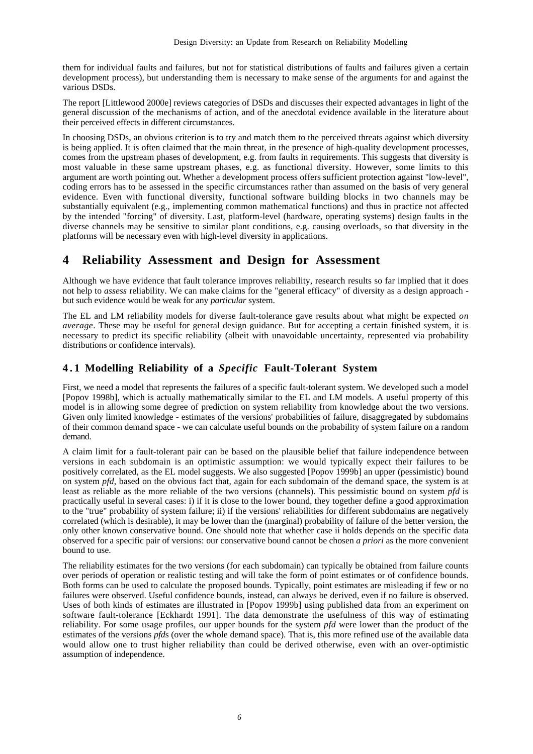them for individual faults and failures, but not for statistical distributions of faults and failures given a certain development process), but understanding them is necessary to make sense of the arguments for and against the various DSDs.

The report [Littlewood 2000e] reviews categories of DSDs and discusses their expected advantages in light of the general discussion of the mechanisms of action, and of the anecdotal evidence available in the literature about their perceived effects in different circumstances.

In choosing DSDs, an obvious criterion is to try and match them to the perceived threats against which diversity is being applied. It is often claimed that the main threat, in the presence of high-quality development processes, comes from the upstream phases of development, e.g. from faults in requirements. This suggests that diversity is most valuable in these same upstream phases, e.g. as functional diversity. However, some limits to this argument are worth pointing out. Whether a development process offers sufficient protection against "low-level", coding errors has to be assessed in the specific circumstances rather than assumed on the basis of very general evidence. Even with functional diversity, functional software building blocks in two channels may be substantially equivalent (e.g., implementing common mathematical functions) and thus in practice not affected by the intended "forcing" of diversity. Last, platform-level (hardware, operating systems) design faults in the diverse channels may be sensitive to similar plant conditions, e.g. causing overloads, so that diversity in the platforms will be necessary even with high-level diversity in applications.

#### **4 Reliability Assessment and Design for Assessment**

Although we have evidence that fault tolerance improves reliability, research results so far implied that it does not help to *assess* reliability. We can make claims for the "general efficacy" of diversity as a design approach but such evidence would be weak for any *particular* system.

The EL and LM reliability models for diverse fault-tolerance gave results about what might be expected *on average*. These may be useful for general design guidance. But for accepting a certain finished system, it is necessary to predict its specific reliability (albeit with unavoidable uncertainty, represented via probability distributions or confidence intervals).

#### **4 . 1 Modelling Reliability of a** *Specific* **Fault-Tolerant System**

First, we need a model that represents the failures of a specific fault-tolerant system. We developed such a model [Popov 1998b], which is actually mathematically similar to the EL and LM models. A useful property of this model is in allowing some degree of prediction on system reliability from knowledge about the two versions. Given only limited knowledge - estimates of the versions' probabilities of failure, disaggregated by subdomains of their common demand space - we can calculate useful bounds on the probability of system failure on a random demand.

A claim limit for a fault-tolerant pair can be based on the plausible belief that failure independence between versions in each subdomain is an optimistic assumption: we would typically expect their failures to be positively correlated, as the EL model suggests. We also suggested [Popov 1999b] an upper (pessimistic) bound on system *pfd*, based on the obvious fact that, again for each subdomain of the demand space, the system is at least as reliable as the more reliable of the two versions (channels). This pessimistic bound on system *pfd* is practically useful in several cases: i) if it is close to the lower bound, they together define a good approximation to the "true" probability of system failure; ii) if the versions' reliabilities for different subdomains are negatively correlated (which is desirable), it may be lower than the (marginal) probability of failure of the better version, the only other known conservative bound. One should note that whether case ii holds depends on the specific data observed for a specific pair of versions: our conservative bound cannot be chosen *a priori* as the more convenient bound to use.

The reliability estimates for the two versions (for each subdomain) can typically be obtained from failure counts over periods of operation or realistic testing and will take the form of point estimates or of confidence bounds. Both forms can be used to calculate the proposed bounds. Typically, point estimates are misleading if few or no failures were observed. Useful confidence bounds, instead, can always be derived, even if no failure is observed. Uses of both kinds of estimates are illustrated in [Popov 1999b] using published data from an experiment on software fault-tolerance [Eckhardt 1991]. The data demonstrate the usefulness of this way of estimating reliability. For some usage profiles, our upper bounds for the system *pfd* were lower than the product of the estimates of the versions *pfd*s (over the whole demand space). That is, this more refined use of the available data would allow one to trust higher reliability than could be derived otherwise, even with an over-optimistic assumption of independence.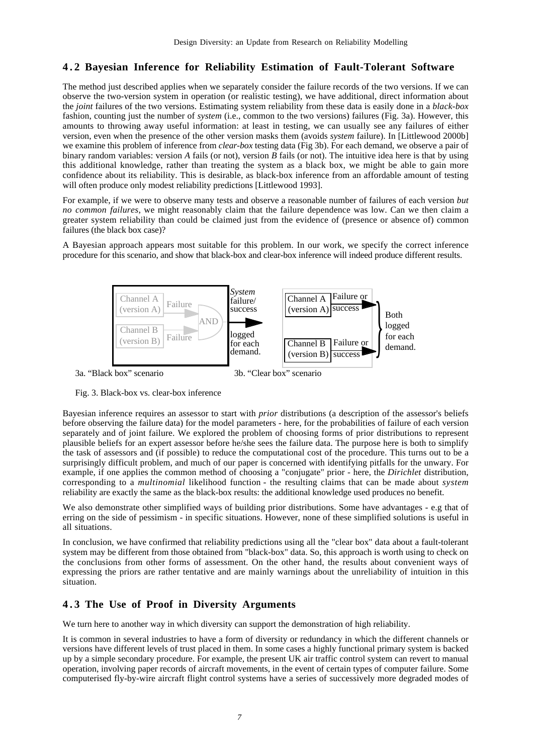#### **4 . 2 Bayesian Inference for Reliability Estimation of Fault-Tolerant Software**

The method just described applies when we separately consider the failure records of the two versions. If we can observe the two-version system in operation (or realistic testing), we have additional, direct information about the *joint* failures of the two versions. Estimating system reliability from these data is easily done in a *black-box* fashion, counting just the number of *system* (i.e., common to the two versions) failures (Fig. 3a). However, this amounts to throwing away useful information: at least in testing, we can usually see any failures of either version, even when the presence of the other version masks them (avoids *system* failure). In [Littlewood 2000b] we examine this problem of inference from *clear-box* testing data (Fig 3b). For each demand, we observe a pair of binary random variables: version *A* fails (or not), version *B* fails (or not). The intuitive idea here is that by using this additional knowledge, rather than treating the system as a black box, we might be able to gain more confidence about its reliability. This is desirable, as black-box inference from an affordable amount of testing will often produce only modest reliability predictions [Littlewood 1993].

For example, if we were to observe many tests and observe a reasonable number of failures of each version *but no common failures*, we might reasonably claim that the failure dependence was low. Can we then claim a greater system reliability than could be claimed just from the evidence of (presence or absence of) common failures (the black box case)?

A Bayesian approach appears most suitable for this problem. In our work, we specify the correct inference procedure for this scenario, and show that black-box and clear-box inference will indeed produce different results.



Fig. 3. Black-box vs. clear-box inference

Bayesian inference requires an assessor to start with *prior* distributions (a description of the assessor's beliefs before observing the failure data) for the model parameters - here, for the probabilities of failure of each version separately and of joint failure. We explored the problem of choosing forms of prior distributions to represent plausible beliefs for an expert assessor before he/she sees the failure data. The purpose here is both to simplify the task of assessors and (if possible) to reduce the computational cost of the procedure. This turns out to be a surprisingly difficult problem, and much of our paper is concerned with identifying pitfalls for the unwary. For example, if one applies the common method of choosing a "conjugate" prior - here, the *Dirichlet* distribution, corresponding to a *multinomial* likelihood function - the resulting claims that can be made about *system* reliability are exactly the same as the black-box results: the additional knowledge used produces no benefit.

We also demonstrate other simplified ways of building prior distributions. Some have advantages - e.g that of erring on the side of pessimism - in specific situations. However, none of these simplified solutions is useful in all situations.

In conclusion, we have confirmed that reliability predictions using all the "clear box" data about a fault-tolerant system may be different from those obtained from "black-box" data. So, this approach is worth using to check on the conclusions from other forms of assessment. On the other hand, the results about convenient ways of expressing the priors are rather tentative and are mainly warnings about the unreliability of intuition in this situation.

#### **4 . 3 The Use of Proof in Diversity Arguments**

We turn here to another way in which diversity can support the demonstration of high reliability.

It is common in several industries to have a form of diversity or redundancy in which the different channels or versions have different levels of trust placed in them. In some cases a highly functional primary system is backed up by a simple secondary procedure. For example, the present UK air traffic control system can revert to manual operation, involving paper records of aircraft movements, in the event of certain types of computer failure. Some computerised fly-by-wire aircraft flight control systems have a series of successively more degraded modes of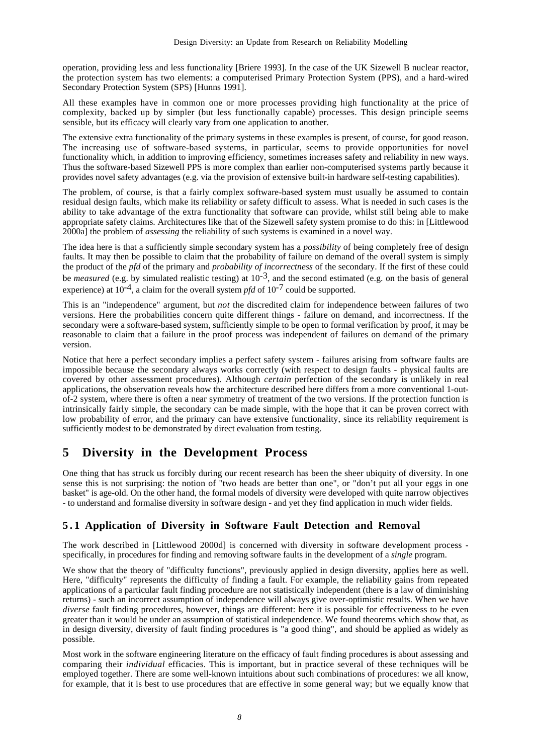operation, providing less and less functionality [Briere 1993]. In the case of the UK Sizewell B nuclear reactor, the protection system has two elements: a computerised Primary Protection System (PPS), and a hard-wired Secondary Protection System (SPS) [Hunns 1991].

All these examples have in common one or more processes providing high functionality at the price of complexity, backed up by simpler (but less functionally capable) processes. This design principle seems sensible, but its efficacy will clearly vary from one application to another.

The extensive extra functionality of the primary systems in these examples is present, of course, for good reason. The increasing use of software-based systems, in particular, seems to provide opportunities for novel functionality which, in addition to improving efficiency, sometimes increases safety and reliability in new ways. Thus the software-based Sizewell PPS is more complex than earlier non-computerised systems partly because it provides novel safety advantages (e.g. via the provision of extensive built-in hardware self-testing capabilities).

The problem, of course, is that a fairly complex software-based system must usually be assumed to contain residual design faults, which make its reliability or safety difficult to assess. What is needed in such cases is the ability to take advantage of the extra functionality that software can provide, whilst still being able to make appropriate safety claims. Architectures like that of the Sizewell safety system promise to do this: in [Littlewood 2000a] the problem of *assessing* the reliability of such systems is examined in a novel way.

The idea here is that a sufficiently simple secondary system has a *possibility* of being completely free of design faults. It may then be possible to claim that the probability of failure on demand of the overall system is simply the product of the *pfd* of the primary and *probability of incorrectness* of the secondary. If the first of these could be *measured* (e.g. by simulated realistic testing) at 10<sup>-3</sup>, and the second estimated (e.g. on the basis of general experience) at 10-4, a claim for the overall system *pfd* of 10-7 could be supported.

This is an "independence" argument, but *not* the discredited claim for independence between failures of two versions. Here the probabilities concern quite different things - failure on demand, and incorrectness. If the secondary were a software-based system, sufficiently simple to be open to formal verification by proof, it may be reasonable to claim that a failure in the proof process was independent of failures on demand of the primary version.

Notice that here a perfect secondary implies a perfect safety system - failures arising from software faults are impossible because the secondary always works correctly (with respect to design faults - physical faults are covered by other assessment procedures). Although *certain* perfection of the secondary is unlikely in real applications, the observation reveals how the architecture described here differs from a more conventional 1-outof-2 system, where there is often a near symmetry of treatment of the two versions. If the protection function is intrinsically fairly simple, the secondary can be made simple, with the hope that it can be proven correct with low probability of error, and the primary can have extensive functionality, since its reliability requirement is sufficiently modest to be demonstrated by direct evaluation from testing.

#### **5 Diversity in the Development Process**

One thing that has struck us forcibly during our recent research has been the sheer ubiquity of diversity. In one sense this is not surprising: the notion of "two heads are better than one", or "don't put all your eggs in one basket" is age-old. On the other hand, the formal models of diversity were developed with quite narrow objectives - to understand and formalise diversity in software design - and yet they find application in much wider fields.

#### **5 . 1 Application of Diversity in Software Fault Detection and Removal**

The work described in [Littlewood 2000d] is concerned with diversity in software development process specifically, in procedures for finding and removing software faults in the development of a *single* program.

We show that the theory of "difficulty functions", previously applied in design diversity, applies here as well. Here, "difficulty" represents the difficulty of finding a fault. For example, the reliability gains from repeated applications of a particular fault finding procedure are not statistically independent (there is a law of diminishing returns) - such an incorrect assumption of independence will always give over-optimistic results. When we have *diverse* fault finding procedures, however, things are different: here it is possible for effectiveness to be even greater than it would be under an assumption of statistical independence. We found theorems which show that, as in design diversity, diversity of fault finding procedures is "a good thing", and should be applied as widely as possible.

Most work in the software engineering literature on the efficacy of fault finding procedures is about assessing and comparing their *individual* efficacies. This is important, but in practice several of these techniques will be employed together. There are some well-known intuitions about such combinations of procedures: we all know, for example, that it is best to use procedures that are effective in some general way; but we equally know that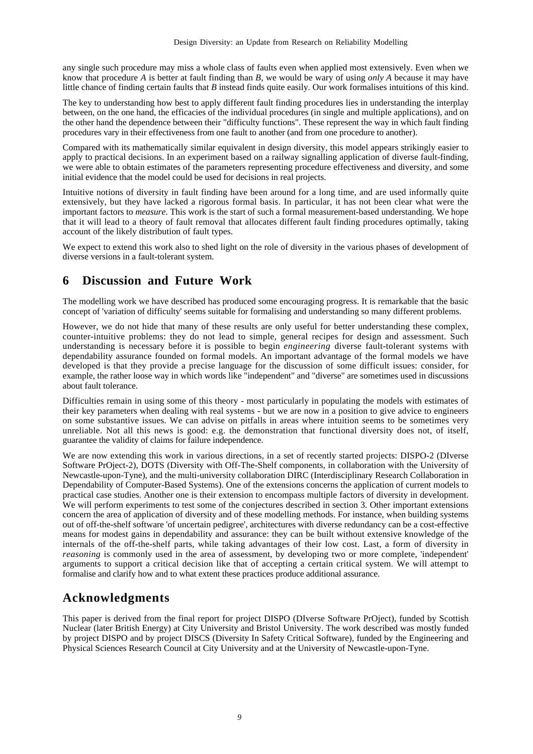any single such procedure may miss a whole class of faults even when applied most extensively. Even when we know that procedure *A* is better at fault finding than *B*, we would be wary of using *only A* because it may have little chance of finding certain faults that *B* instead finds quite easily. Our work formalises intuitions of this kind.

The key to understanding how best to apply different fault finding procedures lies in understanding the interplay between, on the one hand, the efficacies of the individual procedures (in single and multiple applications), and on the other hand the dependence between their "difficulty functions". These represent the way in which fault finding procedures vary in their effectiveness from one fault to another (and from one procedure to another).

Compared with its mathematically similar equivalent in design diversity, this model appears strikingly easier to apply to practical decisions. In an experiment based on a railway signalling application of diverse fault-finding, we were able to obtain estimates of the parameters representing procedure effectiveness and diversity, and some initial evidence that the model could be used for decisions in real projects.

Intuitive notions of diversity in fault finding have been around for a long time, and are used informally quite extensively, but they have lacked a rigorous formal basis. In particular, it has not been clear what were the important factors to *measure*. This work is the start of such a formal measurement-based understanding. We hope that it will lead to a theory of fault removal that allocates different fault finding procedures optimally, taking account of the likely distribution of fault types.

We expect to extend this work also to shed light on the role of diversity in the various phases of development of diverse versions in a fault-tolerant system.

#### **6 Discussion and Future Work**

The modelling work we have described has produced some encouraging progress. It is remarkable that the basic concept of 'variation of difficulty' seems suitable for formalising and understanding so many different problems.

However, we do not hide that many of these results are only useful for better understanding these complex, counter-intuitive problems: they do not lead to simple, general recipes for design and assessment. Such understanding is necessary before it is possible to begin *engineering* diverse fault-tolerant systems with dependability assurance founded on formal models. An important advantage of the formal models we have developed is that they provide a precise language for the discussion of some difficult issues: consider, for example, the rather loose way in which words like "independent" and "diverse" are sometimes used in discussions about fault tolerance.

Difficulties remain in using some of this theory - most particularly in populating the models with estimates of their key parameters when dealing with real systems - but we are now in a position to give advice to engineers on some substantive issues. We can advise on pitfalls in areas where intuition seems to be sometimes very unreliable. Not all this news is good: e.g. the demonstration that functional diversity does not, of itself, guarantee the validity of claims for failure independence.

We are now extending this work in various directions, in a set of recently started projects: DISPO-2 (DIverse Software PrOject-2), DOTS (Diversity with Off-The-Shelf components, in collaboration with the University of Newcastle-upon-Tyne), and the multi-university collaboration DIRC (Interdisciplinary Research Collaboration in Dependability of Computer-Based Systems). One of the extensions concerns the application of current models to practical case studies. Another one is their extension to encompass multiple factors of diversity in development. We will perform experiments to test some of the conjectures described in section 3. Other important extensions concern the area of application of diversity and of these modelling methods. For instance, when building systems out of off-the-shelf software 'of uncertain pedigree', architectures with diverse redundancy can be a cost-effective means for modest gains in dependability and assurance: they can be built without extensive knowledge of the internals of the off-the-shelf parts, while taking advantages of their low cost. Last, a form of diversity in *reasoning* is commonly used in the area of assessment, by developing two or more complete, 'independent' arguments to support a critical decision like that of accepting a certain critical system. We will attempt to formalise and clarify how and to what extent these practices produce additional assurance.

#### **Acknowledgments**

This paper is derived from the final report for project DISPO (DIverse Software PrOject), funded by Scottish Nuclear (later British Energy) at City University and Bristol University. The work described was mostly funded by project DISPO and by project DISCS (Diversity In Safety Critical Software), funded by the Engineering and Physical Sciences Research Council at City University and at the University of Newcastle-upon-Tyne.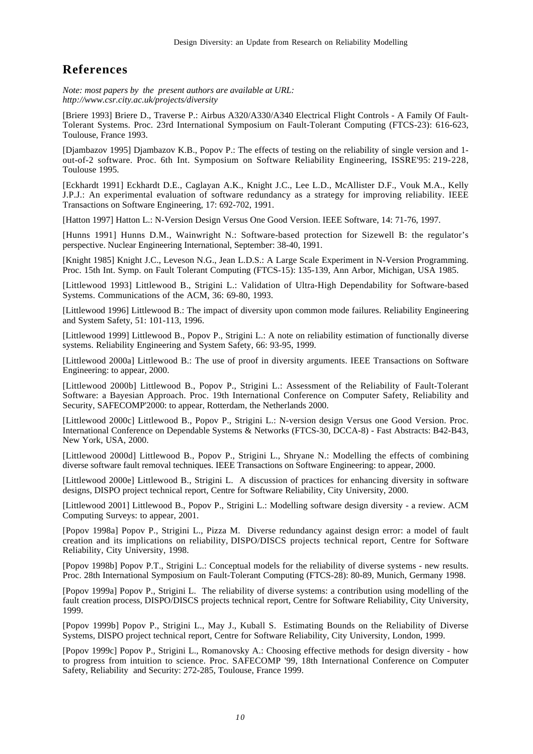## **References**

*Note: most papers by the present authors are available at URL: http://www.csr.city.ac.uk/projects/diversity*

[Briere 1993] Briere D., Traverse P.: Airbus A320/A330/A340 Electrical Flight Controls - A Family Of Fault-Tolerant Systems. Proc. 23rd International Symposium on Fault-Tolerant Computing (FTCS-23): 616-623, Toulouse, France 1993.

[Djambazov 1995] Djambazov K.B., Popov P.: The effects of testing on the reliability of single version and 1 out-of-2 software. Proc. 6th Int. Symposium on Software Reliability Engineering, ISSRE'95: 219-228, Toulouse 1995.

[Eckhardt 1991] Eckhardt D.E., Caglayan A.K., Knight J.C., Lee L.D., McAllister D.F., Vouk M.A., Kelly J.P.J.: An experimental evaluation of software redundancy as a strategy for improving reliability. IEEE Transactions on Software Engineering, 17: 692-702, 1991.

[Hatton 1997] Hatton L.: N-Version Design Versus One Good Version. IEEE Software, 14: 71-76, 1997.

[Hunns 1991] Hunns D.M., Wainwright N.: Software-based protection for Sizewell B: the regulator's perspective. Nuclear Engineering International, September: 38-40, 1991.

[Knight 1985] Knight J.C., Leveson N.G., Jean L.D.S.: A Large Scale Experiment in N-Version Programming. Proc. 15th Int. Symp. on Fault Tolerant Computing (FTCS-15): 135-139, Ann Arbor, Michigan, USA 1985.

[Littlewood 1993] Littlewood B., Strigini L.: Validation of Ultra-High Dependability for Software-based Systems. Communications of the ACM, 36: 69-80, 1993.

[Littlewood 1996] Littlewood B.: The impact of diversity upon common mode failures. Reliability Engineering and System Safety, 51: 101-113, 1996.

[Littlewood 1999] Littlewood B., Popov P., Strigini L.: A note on reliability estimation of functionally diverse systems. Reliability Engineering and System Safety, 66: 93-95, 1999.

[Littlewood 2000a] Littlewood B.: The use of proof in diversity arguments. IEEE Transactions on Software Engineering: to appear, 2000.

[Littlewood 2000b] Littlewood B., Popov P., Strigini L.: Assessment of the Reliability of Fault-Tolerant Software: a Bayesian Approach. Proc. 19th International Conference on Computer Safety, Reliability and Security, SAFECOMP'2000: to appear, Rotterdam, the Netherlands 2000.

[Littlewood 2000c] Littlewood B., Popov P., Strigini L.: N-version design Versus one Good Version. Proc. International Conference on Dependable Systems & Networks (FTCS-30, DCCA-8) - Fast Abstracts: B42-B43, New York, USA, 2000.

[Littlewood 2000d] Littlewood B., Popov P., Strigini L., Shryane N.: Modelling the effects of combining diverse software fault removal techniques. IEEE Transactions on Software Engineering: to appear, 2000.

[Littlewood 2000e] Littlewood B., Strigini L. A discussion of practices for enhancing diversity in software designs*,* DISPO project technical report, Centre for Software Reliability, City University, 2000.

[Littlewood 2001] Littlewood B., Popov P., Strigini L.: Modelling software design diversity - a review. ACM Computing Surveys: to appear, 2001.

[Popov 1998a] Popov P., Strigini L., Pizza M. Diverse redundancy against design error: a model of fault creation and its implications on reliability*,* DISPO/DISCS projects technical report, Centre for Software Reliability, City University, 1998.

[Popov 1998b] Popov P.T., Strigini L.: Conceptual models for the reliability of diverse systems - new results. Proc. 28th International Symposium on Fault-Tolerant Computing (FTCS-28): 80-89, Munich, Germany 1998.

[Popov 1999a] Popov P., Strigini L. The reliability of diverse systems: a contribution using modelling of the fault creation process*,* DISPO/DISCS projects technical report, Centre for Software Reliability, City University, 1999.

[Popov 1999b] Popov P., Strigini L., May J., Kuball S. Estimating Bounds on the Reliability of Diverse Systems*,* DISPO project technical report, Centre for Software Reliability, City University, London, 1999.

[Popov 1999c] Popov P., Strigini L., Romanovsky A.: Choosing effective methods for design diversity - how to progress from intuition to science. Proc. SAFECOMP '99, 18th International Conference on Computer Safety, Reliability and Security: 272-285, Toulouse, France 1999.